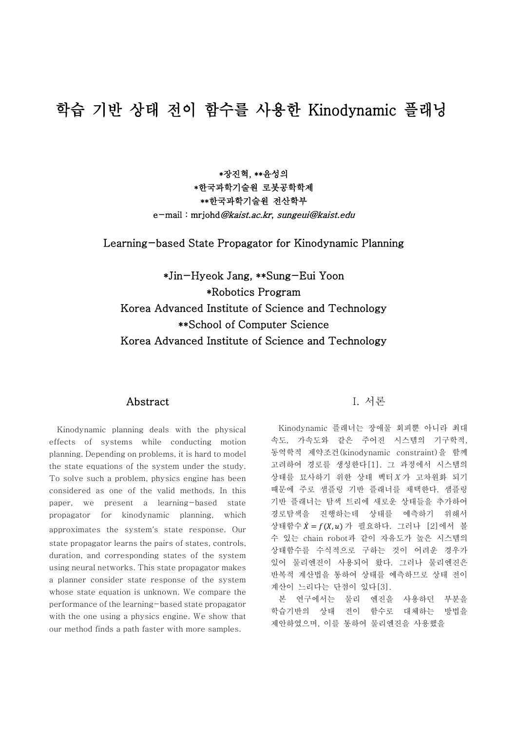# 학습 기반 상태 전이 함수를 사용한 Kinodynamic 플래닝

\*장진혁, \*\*윤성의 \*한국과학기술원 로봇공학학제 \*\*한국과학기술원 전산학부 e-mail : mrjohd@kaist.ac.kr, sungeui@kaist.edu

Learning-based State Propagator for Kinodynamic Planning

\*Jin-Hyeok Jang, \*\*Sung-Eui Yoon \*Robotics Program Korea Advanced Institute of Science and Technology \*\*School of Computer Science Korea Advanced Institute of Science and Technology

# Abstract

Kinodynamic planning deals with the physical effects of systems while conducting motion planning. Depending on problems, it is hard to model the state equations of the system under the study. To solve such a problem, physics engine has been considered as one of the valid methods. In this paper, we present a learning-based state propagator for kinodynamic planning, which approximates the system's state response. Our state propagator learns the pairs of states, controls, duration, and corresponding states of the system using neural networks. This state propagator makes a planner consider state response of the system whose state equation is unknown. We compare the performance of the learning-based state propagator with the one using a physics engine. We show that our method finds a path faster with more samples.

#### I. 서론

Kinodynamic 플래너는 장애물 회피뿐 아니라 최대 속도, 가속도와 같은 주어진 시스템의 기구학적, 동역학적 제약조건(kinodynamic constraint)을 함께 고려하여 경로를 생성한다[1]. 그 과정에서 시스템의 상태를 묘사하기 위한 상태 벡터 X가 고차원화 되기 때문에 주로 샘플링 기반 플래너를 채택한다. 샘플링 기반 플래너는 탐색 트리에 새로운 상태들을 추가하여 경로탐색을 진행하는데 상태를 예측하기 위해서 상태함수  $\dot{X} = f(X, u)$  가 필요하다. 그러나 [2]에서 볼 수 있는 chain robot과 같이 자유도가 높은 시스템의 상태함수를 수식적으로 구하는 것이 어려운 경우가 있어 물리엔진이 사용되어 왔다. 그러나 물리엔진은 반복적 계산법을 통하여 상태를 예측하므로 상태 전이 계산이 느리다는 단점이 있다[3].

본 연구에서는 물리 엔진을 사용하던 부분을 학습기반의 상태 전이 함수로 대체하는 방법을 제안하였으며, 이를 통하여 물리엔진을 사용했을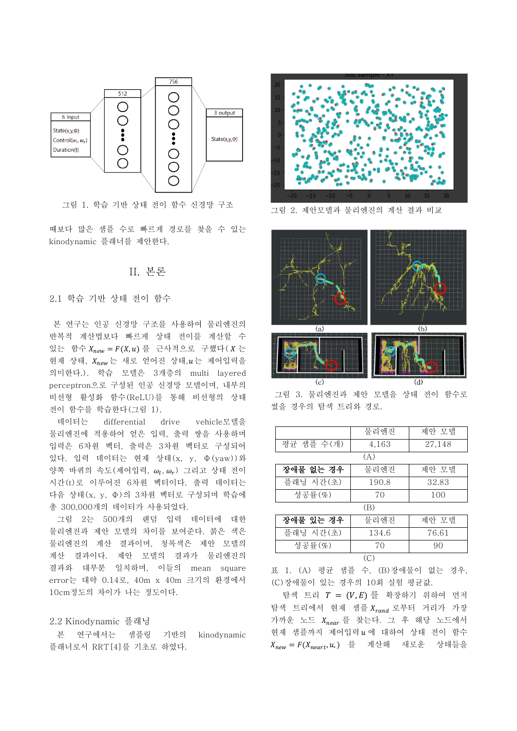

그림 1. 학습 기반 상태 전이 함수 신경망 구조

때보다 많은 샘플 수로 빠르게 경로를 찾을 수 있는 kinodynamic 플래너를 제안한다.

### II. 본론

#### 2.1 학습 기반 상태 전이 함수

본 연구는 인공 신경망 구조를 사용하여 물리엔진의 반복적 계산법보다 빠르게 상태 전이를 계산할 수 있는 함수  $X_{new} = F(X, u)$ 를 근사적으로 구했다 $(X \in$ 현재 상태,  $X_{new}$ 는 새로 얻어진 상태,  $u$ 는 제어입력을 의미한다.). 학습 모델은 3개층의 multi layered perceptron으로 구성된 인공 신경망 모델이며, 내부의 비선형 활성화 함수(ReLU)를 통해 비선형의 상태 전이 함수를 학습한다(그림 1).

데이터는 differential drive vehicle모델을 물리엔진에 적용하여 얻은 입력, 출력 쌍을 사용하며 입력은 6차원 벡터, 출력은 3차원 벡터로 구성되어 있다. 입력 데이터는 현재 상태(x, y, Ф(yaw))와 양쪽 바퀴의 속도(제어입력,  $\omega_l, \omega_r$ ) 그리고 상태 전이 시간(t)로 이루어진 6차원 벡터이다. 출력 데이터는 다음 상태(x, y, Ф)의 3차원 벡터로 구성되며 학습에 총 300,000개의 데이터가 사용되었다.

그림 2는 500개의 랜덤 입력 데이터에 대한 물리엔진과 제안 모델의 차이를 보여준다. 붉은 색은 물리엔진의 계산 결과이며, 청록색은 제안 모델의 계산 결과이다. 제안 모델의 결과가 물리엔진의 결과와 대부분 일치하며, 이들의 mean square error는 대략 0.14로, 40m x 40m 크기의 환경에서 10cm정도의 차이가 나는 정도이다.

#### 2.2 Kinodynamic 플래닝

본 연구에서는 샘플링 기반의 kinodynamic 플래너로서 RRT[4]를 기초로 하였다.



그림 2. 제안모델과 물리엔진의 계산 결과 비교



그림 3. 물리엔진과 제안 모델을 상태 전이 함수로 썼을 경우의 탐색 트리와 경로.

|             | 물리엔진       | 제안 모델  |  |
|-------------|------------|--------|--|
| 평균 샘플 수(개)  | 4,163      | 27,148 |  |
| (A)         |            |        |  |
| 장애물 없는 경우   | 물리엔진       | 제안 모델  |  |
| 플래닝 시간(초)   | 190.8      | 32.83  |  |
| 성공률 $(\%)$  | 70         | 100    |  |
| (B)         |            |        |  |
| - * * * * * | <b>HII</b> |        |  |

| 장애물 있는 경우 | 물리엔진  | 제안 모델 |  |
|-----------|-------|-------|--|
| 플래닝 시간(초) | 134.6 | 76.61 |  |
| 성공률(%)    | 7Λ    | 90    |  |
|           |       |       |  |

표 1. (A) 평균 샘플 수, (B)장애물이 없는 경우, (C)장애물이 있는 경우의 10회 실험 평균값.

탐색 트리  $T = (V, E)$  를 확장하기 위하여 먼저 탐색 트리에서 현재 샘플 Xrand 로부터 거리가 가장 가까운 노드  $X_{near}$ 를 찾는다. 그 후 해당 노드에서 현재 샘플까지 제어입력  $u$  에 대하여 상태 전이 함수  $X_{new} = F(X_{neart}, u, )$  를 계산해 새로운 상태들을